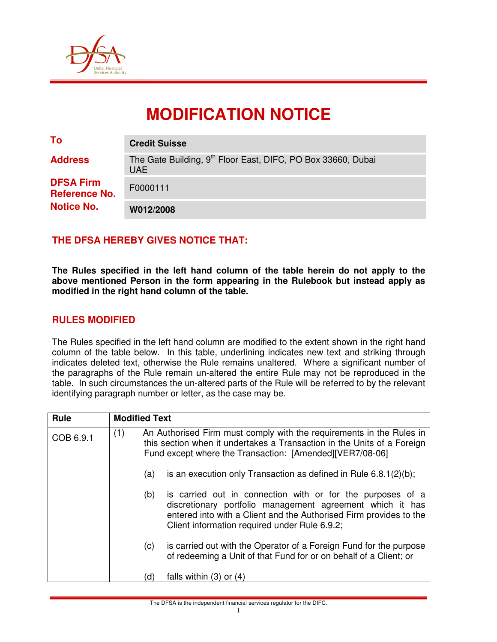

# **MODIFICATION NOTICE**

| To                                                            | <b>Credit Suisse</b>                                                                   |
|---------------------------------------------------------------|----------------------------------------------------------------------------------------|
| <b>Address</b>                                                | The Gate Building, 9 <sup>th</sup> Floor East, DIFC, PO Box 33660, Dubai<br><b>UAE</b> |
| <b>DFSA Firm</b><br><b>Reference No.</b><br><b>Notice No.</b> | F0000111                                                                               |
|                                                               | W012/2008                                                                              |

### **THE DFSA HEREBY GIVES NOTICE THAT:**

**The Rules specified in the left hand column of the table herein do not apply to the above mentioned Person in the form appearing in the Rulebook but instead apply as modified in the right hand column of the table.** 

#### **RULES MODIFIED**

The Rules specified in the left hand column are modified to the extent shown in the right hand column of the table below. In this table, underlining indicates new text and striking through indicates deleted text, otherwise the Rule remains unaltered. Where a significant number of the paragraphs of the Rule remain un-altered the entire Rule may not be reproduced in the table. In such circumstances the un-altered parts of the Rule will be referred to by the relevant identifying paragraph number or letter, as the case may be.

| Rule      |     | <b>Modified Text</b>                                                                                                                                                                                        |                                                                                                                                                                                                                                                |  |  |  |
|-----------|-----|-------------------------------------------------------------------------------------------------------------------------------------------------------------------------------------------------------------|------------------------------------------------------------------------------------------------------------------------------------------------------------------------------------------------------------------------------------------------|--|--|--|
| COB 6.9.1 | (1) | An Authorised Firm must comply with the requirements in the Rules in<br>this section when it undertakes a Transaction in the Units of a Foreign<br>Fund except where the Transaction: [Amended][VER7/08-06] |                                                                                                                                                                                                                                                |  |  |  |
|           |     | (a)                                                                                                                                                                                                         | is an execution only Transaction as defined in Rule $6.8.1(2)(b)$ ;                                                                                                                                                                            |  |  |  |
|           |     | (b)                                                                                                                                                                                                         | is carried out in connection with or for the purposes of a<br>discretionary portfolio management agreement which it has<br>entered into with a Client and the Authorised Firm provides to the<br>Client information required under Rule 6.9.2; |  |  |  |
|           |     | (c)                                                                                                                                                                                                         | is carried out with the Operator of a Foreign Fund for the purpose<br>of redeeming a Unit of that Fund for or on behalf of a Client; or                                                                                                        |  |  |  |
|           |     | (d)                                                                                                                                                                                                         | falls within $(3)$ or $(4)$                                                                                                                                                                                                                    |  |  |  |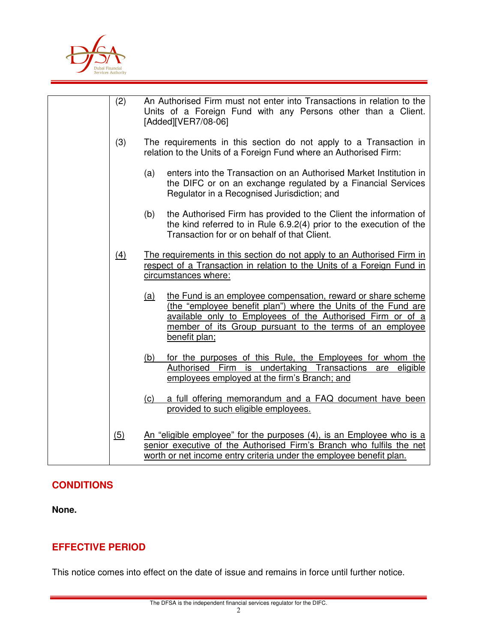

| (2)               | An Authorised Firm must not enter into Transactions in relation to the<br>Units of a Foreign Fund with any Persons other than a Client.<br>[Added][VER7/08-06]                                                                                                                         |  |  |
|-------------------|----------------------------------------------------------------------------------------------------------------------------------------------------------------------------------------------------------------------------------------------------------------------------------------|--|--|
| (3)               | The requirements in this section do not apply to a Transaction in<br>relation to the Units of a Foreign Fund where an Authorised Firm:                                                                                                                                                 |  |  |
|                   | enters into the Transaction on an Authorised Market Institution in<br>(a)<br>the DIFC or on an exchange regulated by a Financial Services<br>Regulator in a Recognised Jurisdiction; and                                                                                               |  |  |
|                   | the Authorised Firm has provided to the Client the information of<br>(b)<br>the kind referred to in Rule 6.9.2(4) prior to the execution of the<br>Transaction for or on behalf of that Client.                                                                                        |  |  |
| $\underline{(4)}$ | The requirements in this section do not apply to an Authorised Firm in<br>respect of a Transaction in relation to the Units of a Foreign Fund in<br>circumstances where:                                                                                                               |  |  |
|                   | the Fund is an employee compensation, reward or share scheme<br><u>(a)</u><br>(the "employee benefit plan") where the Units of the Fund are<br>available only to Employees of the Authorised Firm or of a<br>member of its Group pursuant to the terms of an employee<br>benefit plan; |  |  |
|                   | for the purposes of this Rule, the Employees for whom the<br><u>(b)</u><br>Authorised Firm is undertaking Transactions are eligible<br>employees employed at the firm's Branch; and                                                                                                    |  |  |
|                   | a full offering memorandum and a FAQ document have been<br>(c)<br>provided to such eligible employees.                                                                                                                                                                                 |  |  |
| <u>(5)</u>        | An "eligible employee" for the purposes (4), is an Employee who is a<br>senior executive of the Authorised Firm's Branch who fulfils the net<br>worth or net income entry criteria under the employee benefit plan.                                                                    |  |  |

## **CONDITIONS**

**None.** 

# **EFFECTIVE PERIOD**

This notice comes into effect on the date of issue and remains in force until further notice.